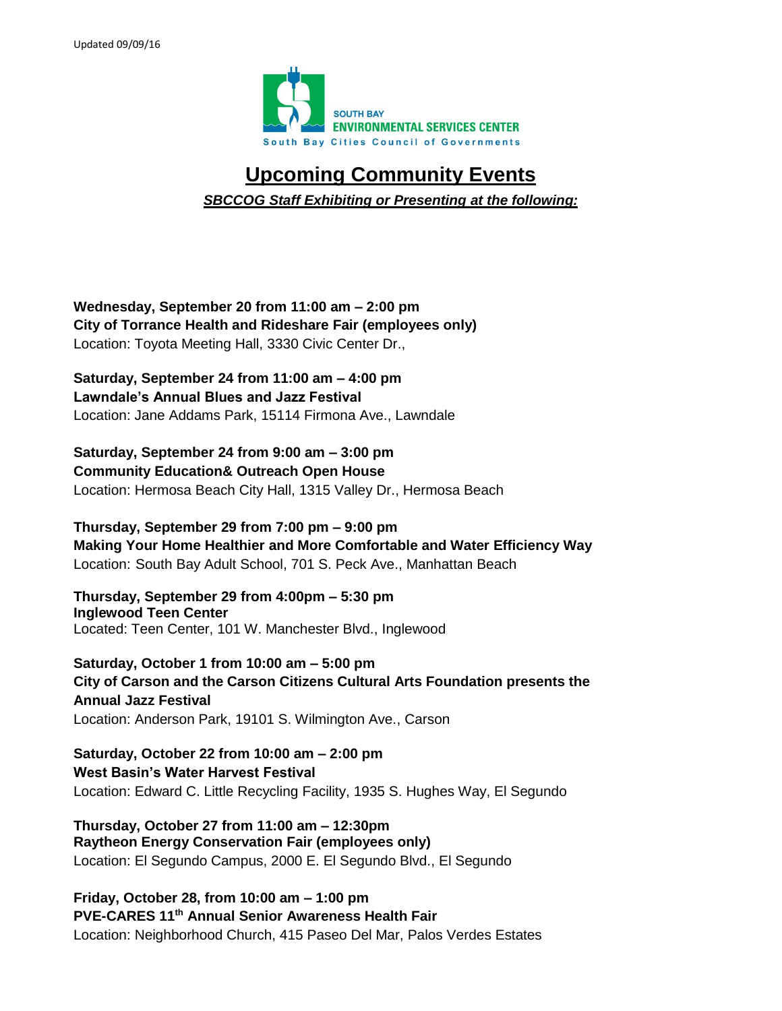

## **Upcoming Community Events**

*SBCCOG Staff Exhibiting or Presenting at the following:*

**Wednesday, September 20 from 11:00 am – 2:00 pm City of Torrance Health and Rideshare Fair (employees only)** Location: Toyota Meeting Hall, 3330 Civic Center Dr.,

**Saturday, September 24 from 11:00 am – 4:00 pm Lawndale's Annual Blues and Jazz Festival** Location: Jane Addams Park, 15114 Firmona Ave., Lawndale

**Saturday, September 24 from 9:00 am – 3:00 pm Community Education& Outreach Open House** Location: Hermosa Beach City Hall, 1315 Valley Dr., Hermosa Beach

**Thursday, September 29 from 7:00 pm – 9:00 pm Making Your Home Healthier and More Comfortable and Water Efficiency Way** Location: South Bay Adult School, 701 S. Peck Ave., Manhattan Beach

**Thursday, September 29 from 4:00pm – 5:30 pm Inglewood Teen Center** Located: Teen Center, 101 W. Manchester Blvd., Inglewood

**Saturday, October 1 from 10:00 am – 5:00 pm City of Carson and the Carson Citizens Cultural Arts Foundation presents the Annual Jazz Festival**  Location: Anderson Park, 19101 S. Wilmington Ave., Carson

**Saturday, October 22 from 10:00 am – 2:00 pm West Basin's Water Harvest Festival** Location: Edward C. Little Recycling Facility, 1935 S. Hughes Way, El Segundo

**Thursday, October 27 from 11:00 am – 12:30pm Raytheon Energy Conservation Fair (employees only)** Location: El Segundo Campus, 2000 E. El Segundo Blvd., El Segundo

**Friday, October 28, from 10:00 am – 1:00 pm PVE-CARES 11th Annual Senior Awareness Health Fair** Location: Neighborhood Church, 415 Paseo Del Mar, Palos Verdes Estates